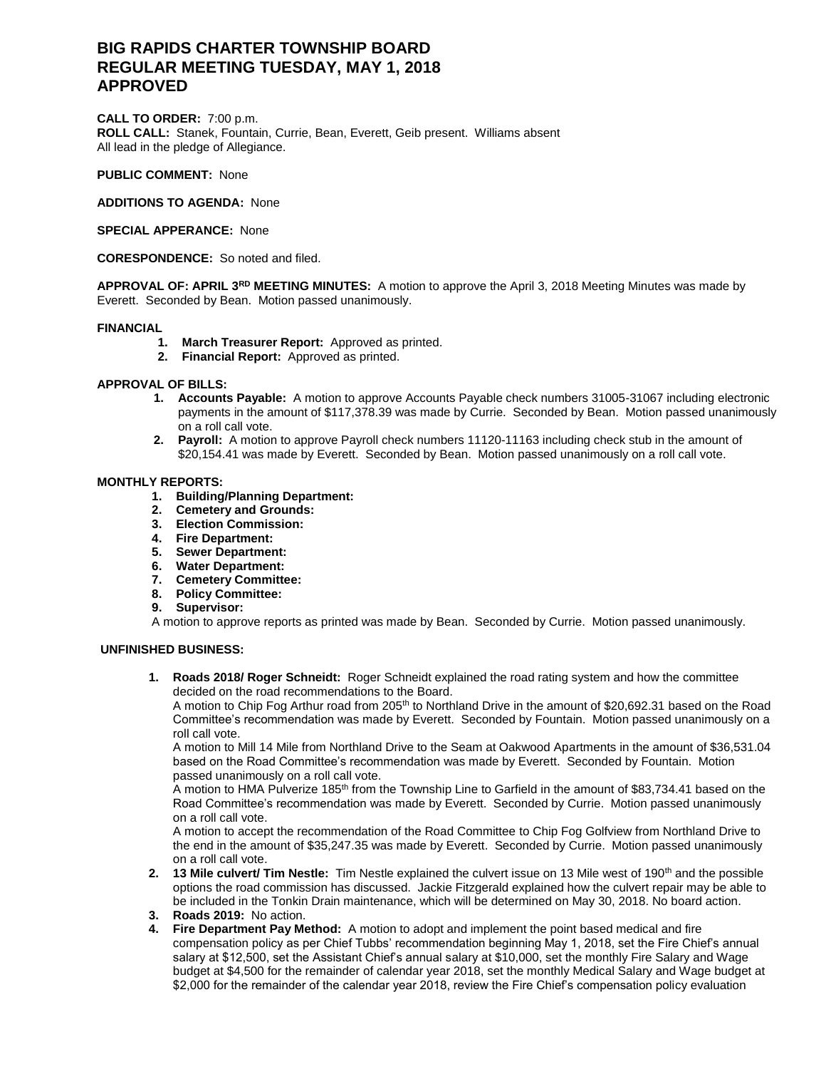# **BIG RAPIDS CHARTER TOWNSHIP BOARD REGULAR MEETING TUESDAY, MAY 1, 2018 APPROVED**

**CALL TO ORDER:** 7:00 p.m. **ROLL CALL:** Stanek, Fountain, Currie, Bean, Everett, Geib present. Williams absent All lead in the pledge of Allegiance.

**PUBLIC COMMENT:** None

**ADDITIONS TO AGENDA:** None

**SPECIAL APPERANCE:** None

**CORESPONDENCE:** So noted and filed.

**APPROVAL OF: APRIL 3RD MEETING MINUTES:** A motion to approve the April 3, 2018 Meeting Minutes was made by Everett. Seconded by Bean. Motion passed unanimously.

## **FINANCIAL**

- **1. March Treasurer Report:** Approved as printed.
- **2. Financial Report:** Approved as printed.

## **APPROVAL OF BILLS:**

- **1. Accounts Payable:** A motion to approve Accounts Payable check numbers 31005-31067 including electronic payments in the amount of \$117,378.39 was made by Currie. Seconded by Bean. Motion passed unanimously on a roll call vote.
- **2. Payroll:** A motion to approve Payroll check numbers 11120-11163 including check stub in the amount of \$20,154.41 was made by Everett. Seconded by Bean. Motion passed unanimously on a roll call vote.

# **MONTHLY REPORTS:**

- **1. Building/Planning Department:**
- **2. Cemetery and Grounds:**
- **3. Election Commission:**
- **4. Fire Department:**
- **5. Sewer Department:**
- **6. Water Department:**
- **7. Cemetery Committee:**
- **8. Policy Committee:**
- **9. Supervisor:**
- A motion to approve reports as printed was made by Bean. Seconded by Currie. Motion passed unanimously.

# **UNFINISHED BUSINESS:**

**1. Roads 2018/ Roger Schneidt:** Roger Schneidt explained the road rating system and how the committee decided on the road recommendations to the Board.

A motion to Chip Fog Arthur road from 205<sup>th</sup> to Northland Drive in the amount of \$20,692.31 based on the Road Committee's recommendation was made by Everett. Seconded by Fountain. Motion passed unanimously on a roll call vote.

A motion to Mill 14 Mile from Northland Drive to the Seam at Oakwood Apartments in the amount of \$36,531.04 based on the Road Committee's recommendation was made by Everett. Seconded by Fountain. Motion passed unanimously on a roll call vote.

A motion to HMA Pulverize 185<sup>th</sup> from the Township Line to Garfield in the amount of \$83,734.41 based on the Road Committee's recommendation was made by Everett. Seconded by Currie. Motion passed unanimously on a roll call vote.

A motion to accept the recommendation of the Road Committee to Chip Fog Golfview from Northland Drive to the end in the amount of \$35,247.35 was made by Everett. Seconded by Currie. Motion passed unanimously on a roll call vote.

- **2. 13 Mile culvert/ Tim Nestle:** Tim Nestle explained the culvert issue on 13 Mile west of 190th and the possible options the road commission has discussed. Jackie Fitzgerald explained how the culvert repair may be able to be included in the Tonkin Drain maintenance, which will be determined on May 30, 2018. No board action.
- **3. Roads 2019:** No action.
- **4. Fire Department Pay Method:** A motion to adopt and implement the point based medical and fire compensation policy as per Chief Tubbs' recommendation beginning May 1, 2018, set the Fire Chief's annual salary at \$12,500, set the Assistant Chief's annual salary at \$10,000, set the monthly Fire Salary and Wage budget at \$4,500 for the remainder of calendar year 2018, set the monthly Medical Salary and Wage budget at \$2,000 for the remainder of the calendar year 2018, review the Fire Chief's compensation policy evaluation